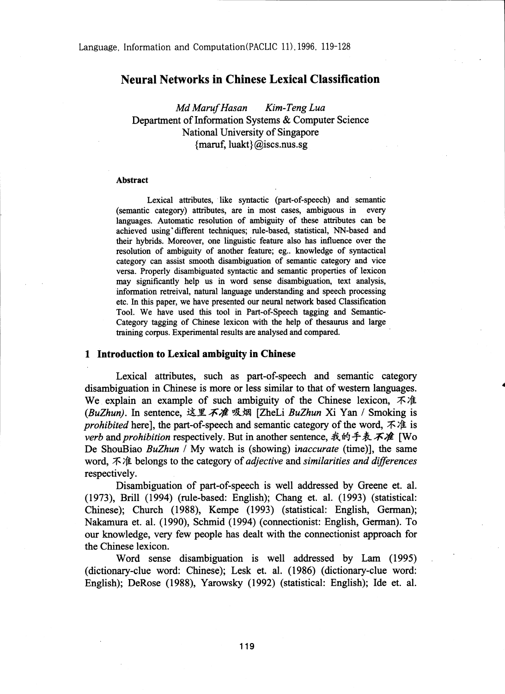# Neural Networks in Chinese Lexical Classification

*Md Maruf Hasan Kim-Teng Lua* Department of Information Systems & Computer Science National University of Singapore {maruf, luakt} @iscs.nus.sg

#### Abstract

Lexical attributes, like syntactic (part-of-speech) and semantic (semantic category) attributes, are in most cases, ambiguous in every languages. Automatic resolution of ambiguity of these attributes can be achieved using different techniques; rule-based, statistical, NN-based and their hybrids. Moreover, one linguistic feature also has influence over the resolution of ambiguity of another feature; eg.. knowledge of syntactical category can assist smooth disambiguation of semantic category and vice versa. Properly disambiguated syntactic and semantic properties of lexicon may significantly help us in word sense disambiguation, text analysis, information retreival, natural language understanding and speech processing etc. In this paper, we have presented our neural network based Classification Tool. We have used this tool in Part-of-Speech tagging and Semantic-Category tagging of Chinese lexicon with the help of thesaurus and large training corpus. Experimental results are analysed and compared.

### 1 Introduction to Lexical ambiguity in Chinese

Lexical attributes, such as part-of-speech and semantic category disambiguation in Chinese is more or less similar to that of western languages. We explain an example of such ambiguity of the Chinese lexicon,  $\vec{\mathcal{A}}$  at *(BuZhun)*. In sentence, 这里不准吸烟 [ZheLi *BuZhun Xi Yan* / Smoking is *prohibited* here], the part-of-speech and semantic category of the word,  $\vec{\pi}$  is *verb* and *prohibition* respectively. But in another sentence, 我的手表不准 [Wo De ShouBiao *BuZhun /* My watch is (showing) *inaccurate (time)],* the same word, 不准 belongs to the category of *adjective* and *similarities and differences* respectively.

Disambiguation of part-of-speech is well addressed by Greene et. al. (1973), Brill (1994) (rule-based: English); Chang et. al. (1993) (statistical: Chinese); Church (1988), Kempe (1993) (statistical: English, German); Nakamura et. al. (1990), Schmid (1994) (connectionist: English, German). To our knowledge, very few people has dealt with the connectionist approach for the Chinese lexicon.

Word sense disambiguation is well addressed by Lam (1995) (dictionary-clue word: Chinese); Lesk et. al. (1986) (dictionary-clue word: English); DeRose (1988), Yarowsky (1992) (statistical: English); Ide et. al.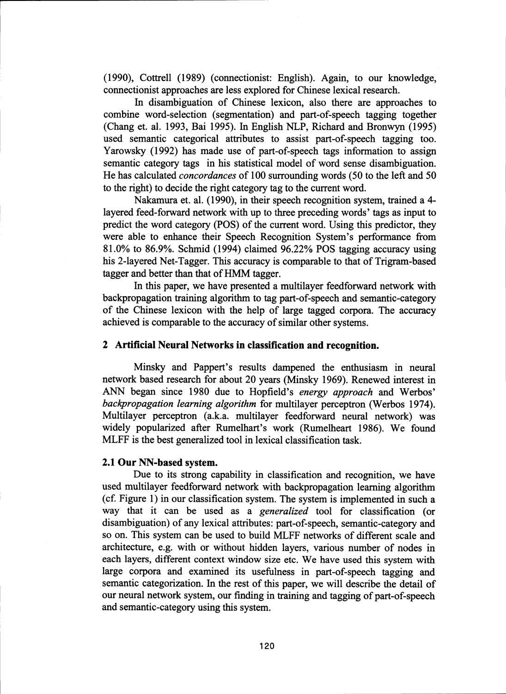(1990), Cottrell (1989) (connectionist: English). Again, to our knowledge, connectionist approaches are less explored for Chinese lexical research.

In disambiguation of Chinese lexicon, also there are approaches to combine word-selection (segmentation) and part-of-speech tagging together (Chang et. al. 1993, Bai 1995). In English NLP, Richard and Bronwyn (1995) used semantic categorical attributes to assist part-of-speech tagging too. Yarowsky (1992) has made use of part-of-speech tags information to assign semantic category tags in his statistical model of word sense disambiguation. He has calculated *concordances* of 100 surrounding words (50 to the left and 50 to the right) to decide the right category tag to the current word.

Nakamura et. al. (1990), in their speech recognition system, trained a 4 layered feed-forward network with up to three preceding words' tags as input to predict the word category (POS) of the current word. Using this predictor, they were able to enhance their Speech Recognition System's performance from 81.0% to 86.9%. Schmid (1994) claimed 96.22% POS tagging accuracy using his 2-layered Net-Tagger. This accuracy is comparable to that of Trigram-based tagger and better than that of HMM tagger.

In this paper, we have presented a multilayer feedforward network with backpropagation training algorithm to tag part-of-speech and semantic-category of the Chinese lexicon with the help of large tagged corpora. The accuracy achieved is comparable to the accuracy of similar other systems.

### 2 Artificial Neural Networks in classification and recognition.

Minsky and Pappert's results dampened the enthusiasm in neural network based research for about 20 years (Minsky 1969). Renewed interest in ANN began since 1980 due to Hopfield's *energy approach* and Werbos' *backpropagation learning algorithm* for multilayer perceptron (Werbos 1974). Multilayer perceptron (a.k.a. multilayer feedforward neural network) was widely popularized after Rumelhart's work (Rumelheart 1986). We found MLFF is the best generalized tool in lexical classification task.

### 2.1 Our NN-based system.

Due to its strong capability in classification and recognition, we have used multilayer feedforward network with backpropagation learning algorithm (cf. Figure 1) in our classification system. The system is implemented in such a way that it can be used as a *generalized* tool for classification (or disambiguation) of any lexical attributes: part-of-speech, semantic-category and so on. This system can be used to build MLFF networks of different scale and architecture, e.g. with or without hidden layers, various number of nodes in each layers, different context window size etc. We have used this system with large corpora and examined its usefulness in part-of-speech tagging and semantic categorization. In the rest of this paper, we will describe the detail of our neural network system, our finding in training and tagging of part-of-speech and semantic-category using this system.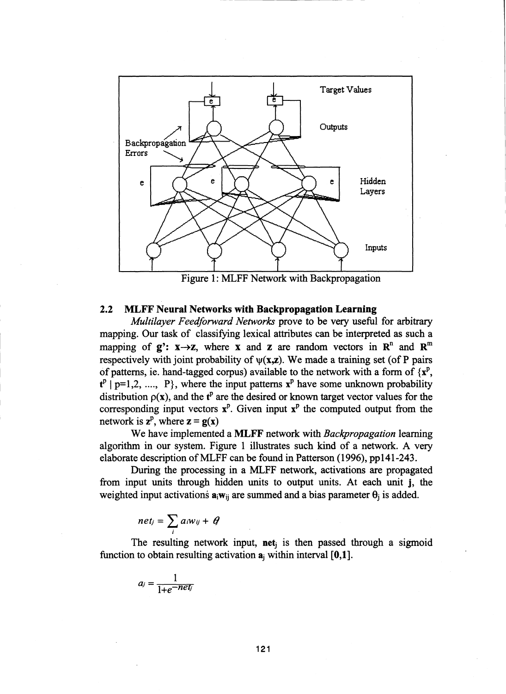

Figure 1: MLFF Network with Backpropagation

### 2.2 MLFF Neural Networks with Backpropagation Learning

*Multilayer Feedforward Networks* prove to be very useful for arbitrary mapping. Our task of classifying lexical attributes can be interpreted as such a mapping of  $g'$ :  $x \rightarrow z$ , where x and z are random vectors in  $\mathbb{R}^n$  and  $\mathbb{R}^m$ respectively with joint probability of  $\psi(x,z)$ . We made a training set (of P pairs of patterns, ie. hand-tagged corpus) available to the network with a form of  $\{x^p\}$ .  $t^p$  | p=1,2, ..., P}, where the input patterns  $x^p$  have some unknown probability distribution  $p(x)$ , and the t<sup>p</sup> are the desired or known target vector values for the corresponding input vectors  $x^p$ . Given input  $x^p$  the computed output from the network is  $z^p$ , where  $z = g(x)$ 

We have implemented a MLFF network with *Backpropagation* learning algorithm in our system. Figure 1 illustrates such kind of a network. A very elaborate description of MLFF can be found in Patterson (1996), pp141-243.

During the processing in a MLFF network, activations are propagated from input units through hidden units to output units. At each unit j, the weighted input activations  $a_iw_{ii}$  are summed and a bias parameter  $\theta_i$  is added.

$$
net_j = \sum_i a_i w_{ij} + \theta
$$

The resulting network input, net<sub>i</sub> is then passed through a sigmoid function to obtain resulting activation  $a_i$ ; within interval  $[0,1]$ .

$$
a_j=\frac{1}{1+e^{-net_j}}
$$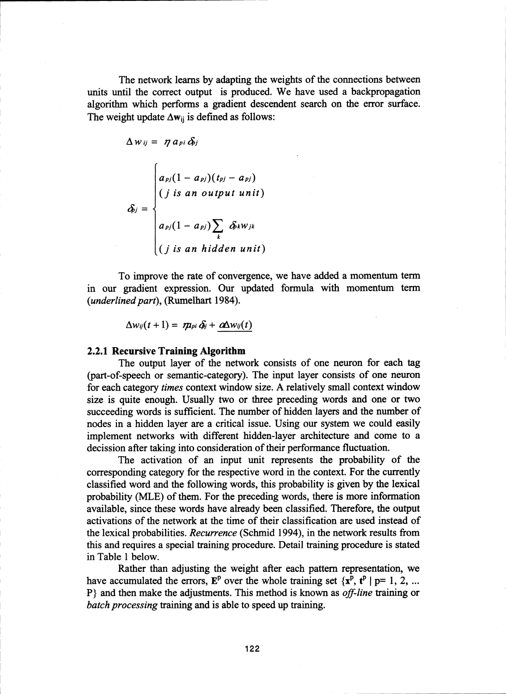The network learns by adapting the weights of the connections between units until the correct output is produced. We have used a backpropagation algorithm which performs a gradient descendent search on the error surface. The weight update  $\Delta w_{ii}$  is defined as follows:

$$
\Delta w_{ij} = \eta a_{pi} \delta_{ij}
$$
\n
$$
\delta_{ij} = \begin{cases}\na_{pj}(1 - a_{pj})(t_{pj} - a_{pj}) \\
(j \text{ is an output unit}) \\
a_{pj}(1 - a_{pj}) \sum_{k} \delta_{k}w_{jk} \\
(j \text{ is an hidden unit})\n\end{cases}
$$

To improve the rate of convergence, we have added a momentum term in our gradient expression. Our updated formula with momentum term *(underlined part),* (Rumelhart 1984).

 $\Delta w_{ij}(t+1) = m_{pi} \delta_j + \alpha \Delta w_{ij}(t)$ 

#### 2.2.1 Recursive Training Algorithm

The output layer of the network consists of one neuron for each tag (part-of-speech or semantic-category). The input layer consists of one neuron for each category *times* context window size. A relatively small context window size is quite enough. Usually two or three preceding words and one or two succeeding words is sufficient. The number of hidden layers and the number of nodes in a hidden layer are a critical issue. Using our system we could easily implement networks with different hidden-layer architecture and come to a decission after taking into consideration of their performance fluctuation.

The activation of an input unit represents the probability of the corresponding category for the respective word in the context. For the currently classified word and the following words, this probability is given by the lexical probability (MLE) of them. For the preceding words, there is more information available, since these words have already been classified. Therefore, the output activations of the network at the time of their classification are used instead of the lexical probabilities. *Recurrence* (Schmid 1994), in the network results from this and requires a special training procedure. Detail training procedure is stated in Table 1 below.

Rather than adjusting the weight after each pattern representation, we have accumulated the errors,  $\mathbf{E}^{\text{p}}$  over the whole training set  $\{\mathbf{x}^{\text{p}}, t^{\text{p}} | \mathbf{p} = 1, 2, \dots\}$ P} and then make the adjustments. This method is known as *off-line* training or *batch processing* training and is able to speed up training.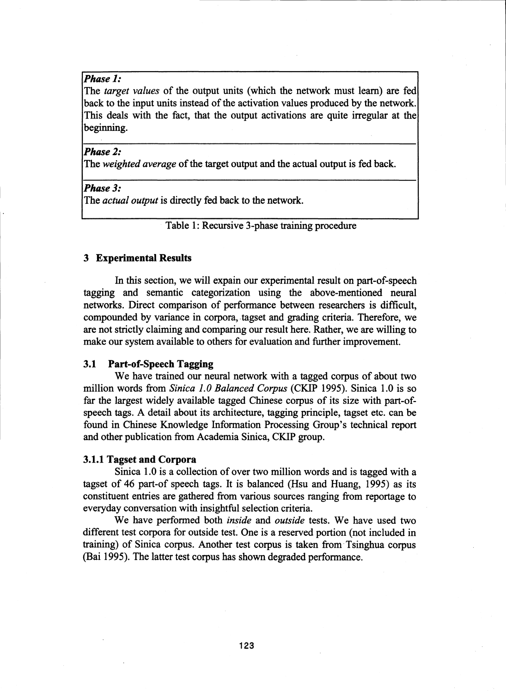## *Phase 1:*

The *target values* of the output units (which the network must learn) are fed back to the input units instead of the activation values produced by the network. This deals with the fact, that the output activations are quite irregular at the beginning.

#### *Phase 2:*

The *weighted average* of the target output and the actual output is fed back.

## *Phase 3:*

The *actual output* is directly fed back to the network.

Table 1: Recursive 3-phase training procedure

### 3 Experimental Results

In this section, we will expain our experimental result on part-of-speech tagging and semantic categorization using the above-mentioned neural networks. Direct comparison of performance between researchers is difficult, compounded by variance in corpora, tagset and grading criteria. Therefore, we are not strictly claiming and comparing our result here. Rather, we are willing to make our system available to others for evaluation and further improvement.

#### 3.1 Part-of-Speech Tagging

We have trained our neural network with a tagged corpus of about two million words from *Sinica 1.0 Balanced Corpus* (CKIP 1995). Sinica 1.0 is so far the largest widely available tagged Chinese corpus of its size with part-ofspeech tags. A detail about its architecture, tagging principle, tagset etc. can be found in Chinese Knowledge Information Processing Group's technical report and other publication from Academia Sinica, CKIP group.

### 3.1.1 Tagset and Corpora

Sinica 1.0 is a collection of over two million words and is tagged with a tagset of 46 part-of speech tags. It is balanced (Hsu and Huang, 1995) as its constituent entries are gathered from various sources ranging from reportage to everyday conversation with insightful selection criteria.

We have performed both *inside* and *outside* tests. We have used two different test corpora for outside test. One is a reserved portion (not included in training) of Sinica corpus. Another test corpus is taken from Tsinghua corpus (Bai 1995). The latter test corpus has shown degraded performance.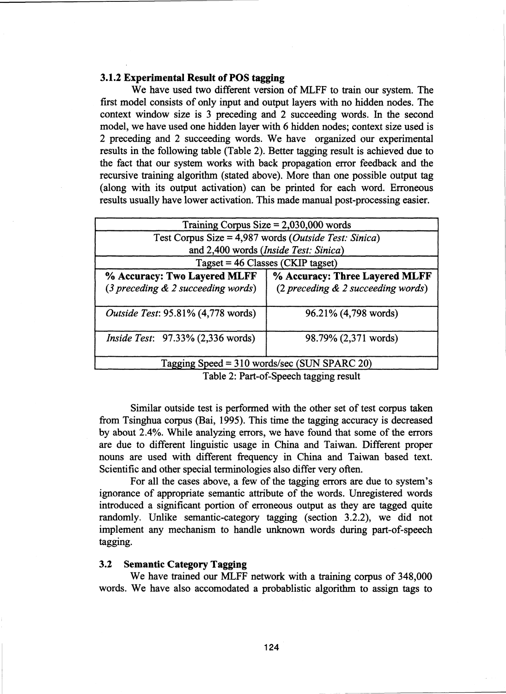# 3.1.2 Experimental Result of POS tagging

We have used two different version of MLFF to train our system. The first model consists of only input and output layers with no hidden nodes. The context window size is 3 preceding and 2 succeeding words. In the second model, we have used one hidden layer with 6 hidden nodes; context size used is 2 preceding and 2 succeeding words. We have organized our experimental results in the following table (Table 2). Better tagging result is achieved due to the fact that our system works with back propagation error feedback and the recursive training algorithm (stated above). More than one possible output tag (along with its output activation) can be printed for each word. Erroneous results usually have lower activation. This made manual post-processing easier.

| Training Corpus Size $= 2,030,000$ words                                |                                                                      |
|-------------------------------------------------------------------------|----------------------------------------------------------------------|
| Test Corpus Size = $4,987$ words ( <i>Outside Test: Sinica</i> )        |                                                                      |
| and 2,400 words (Inside Test: Sinica)                                   |                                                                      |
| $Tagger = 46 \text{ Classes} (CKIP tagset)$                             |                                                                      |
| % Accuracy: Two Layered MLFF<br>$(3$ preceding $\&$ 2 succeeding words) | % Accuracy: Three Layered MLFF<br>(2 preceding & 2 succeeding words) |
| Outside Test: 95.81% (4,778 words)                                      | 96.21% (4,798 words)                                                 |
| <i>Inside Test:</i> 97.33% (2,336 words)                                | 98.79% (2,371 words)                                                 |
| Tagging Speed = 310 words/sec (SUN SPARC 20)                            |                                                                      |

Table 2: Part-of-Speech tagging result

Similar outside test is performed with the other set of test corpus taken from Tsinghua corpus (Bai, 1995). This time the tagging accuracy is decreased by about 2.4%. While analyzing errors, we have found that some of the errors are due to different linguistic usage in China and Taiwan. Different proper nouns are used with different frequency in China and Taiwan based text. Scientific and other special terminologies also differ very often.

For all the cases above, a few of the tagging errors are due to system's ignorance of appropriate semantic attribute of the words. Unregistered words introduced a significant portion of erroneous output as they are tagged quite randomly. Unlike semantic-category tagging (section 3.2.2), we did not implement any mechanism to handle unknown words during part-of-speech tagging.

## 3.2 Semantic Category Tagging

We have trained our MLFF network with a training corpus of 348,000 words. We have also accomodated a probablistic algorithm to assign tags to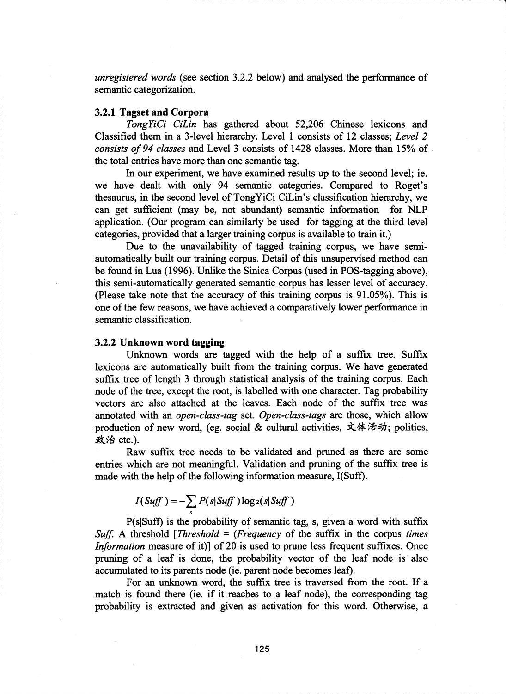*unregistered words* (see section 3.2.2 below) and analysed the performance of semantic categorization.

#### 3.2.1 Tagset and Corpora

*TongYiCi CiLin* has gathered about 52,206 Chinese lexicons and Classified them in a 3-level hierarchy. Level 1 consists of 12 classes; *Level 2 consists of 94 classes* and Level 3 consists of 1428 classes. More than 15% of the total entries have more than one semantic tag.

In our experiment, we have examined results up to the second level; ie. we have dealt with only 94 semantic categories. Compared to Roget's thesaurus, in the second level of TongYiCi CiLin's classification hierarchy, we can get sufficient (may be, not abundant) semantic information for NLP application. (Our program can similarly be used for tagging at the third level categories, provided that a larger training corpus is available to train it.)

Due to the unavailability of tagged training corpus, we have semiautomatically built our training corpus. Detail of this unsupervised method can be found in Lua (1996). Unlike the Sinica Corpus (used in POS-tagging above), this semi-automatically generated semantic corpus has lesser level of accuracy. (Please take note that the accuracy of this training corpus is 91.05%). This is one of the few reasons, we have achieved a comparatively lower performance in semantic classification.

### 3.2.2 Unknown word tagging

Unknown words are tagged with the help of a suffix tree. Suffix lexicons are automatically built from the training corpus. We have generated suffix tree of length 3 through statistical analysis of the training corpus. Each node of the tree, except the root, is labelled with one character. Tag probability vectors are also attached at the leaves. Each node of the suffix tree was annotated with an *open-class-tag* set. *Open-class-tags* are those, which allow production of new word, (eg. social & cultural activities,  $\dot{\mathbf{\times}}$   $\dot{\mathbf{\times}}$   $\dot{\mathbf{\times}}$   $\dot{\mathbf{\times}}$ ); politics, 政治 etc.).

Raw suffix tree needs to be validated and pruned as there are some entries which are not meaningful. Validation and pruning of the suffix tree is made with the help of the following information measure, I(Suff).

$$
I(Suff) = -\sum_{s} P(s|Suff) \log_2(s|Suff)
$$

P(sISuff) is the probability of semantic tag, s, given a word with suffix *Suff.* A threshold *[Threshold = (Frequency* of the suffix in the corpus *times Information* measure of it)] of 20 is used to prune less frequent suffixes. Once pruning of a leaf is done, the probability vector of the leaf node is also accumulated to its parents node (ie. parent node becomes leaf).

For an unknown word, the suffix tree is traversed from the root. If a match is found there (ie. if it reaches to a leaf node), the corresponding tag probability is extracted and given as activation for this word. Otherwise, a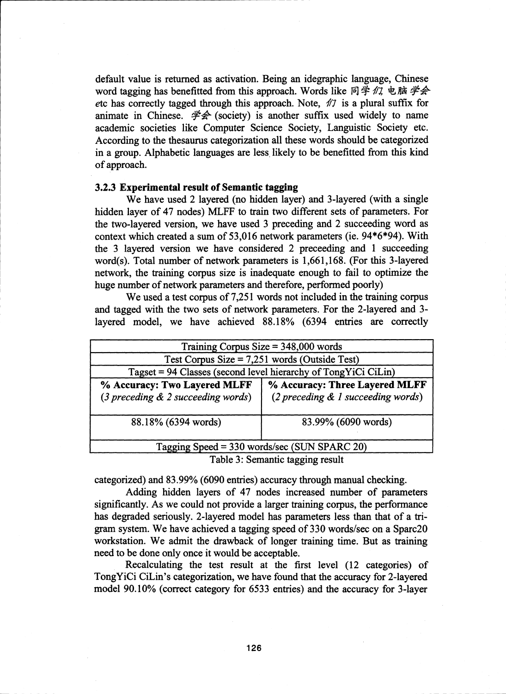default value is returned as activation. Being an idegraphic language, Chinese word tagging has benefitted from this approach. Words like 同学 *们*, 电脑 学会 etc has correctly tagged through this approach. Note,  $\hat{\theta}$  is a plural suffix for animate in Chinese.  $\sharp\hat{\mathcal{F}}$  (society) is another suffix used widely to name academic societies like Computer Science Society, Languistic Society etc. According to the thesaurus categorization all these words should be categorized in a group. Alphabetic languages are less likely to be benefitted from this kind of approach.

#### 3.2.3 Experimental result of Semantic tagging

We have used 2 layered (no hidden layer) and 3-layered (with a single hidden layer of 47 nodes) MLFF to train two different sets of parameters. For the two-layered version, we have used 3 preceding and 2 succeeding word as context which created a sum of 53,016 network parameters (ie. 94\*6\*94). With the 3 layered version we have considered 2 preceeding and 1 succeeding word(s). Total number of network parameters is 1,661,168. (For this 3-layered network, the training corpus size is inadequate enough to fail to optimize the huge number of network parameters and therefore, performed poorly)

We used a test corpus of 7,251 words not included in the training corpus and tagged with the two sets of network parameters. For the 2-layered and 3 layered model, we have achieved 88.18% (6394 entries are correctly

| Training Corpus Size $=$ 348,000 words                                                |                                                                      |  |
|---------------------------------------------------------------------------------------|----------------------------------------------------------------------|--|
| Test Corpus Size = $7,251$ words (Outside Test)                                       |                                                                      |  |
| Tagset = 94 Classes (second level hierarchy of TongYiCi CiLin)                        |                                                                      |  |
| % Accuracy: Two Layered MLFF<br>$(3 \text{ preceding } \& 2 \text{ succeeding word})$ | % Accuracy: Three Layered MLFF<br>(2 preceding & 1 succeeding words) |  |
| 88.18% (6394 words)                                                                   | 83.99% (6090 words)                                                  |  |
| Tagging Speed = 330 words/sec (SUN SPARC 20)                                          |                                                                      |  |
| Table 2. Computing to raing nomes                                                     |                                                                      |  |

Table 3: Semantic tagging result

categorized) and 83.99% (6090 entries) accuracy through manual checking.

Adding hidden layers of 47 nodes increased number of parameters significantly. As we could not provide a larger training corpus, the performance has degraded seriously. 2-layered model has parameters less than that of a trigram system. We have achieved a tagging speed of 330 words/sec on a Sparc20 workstation. We admit the drawback of longer training time. But as training need to be done only once it would be acceptable.

Recalculating the test result at the first level (12 categories) of TongYiCi CiLin's categorization, we have found that the accuracy for 2-layered model 90.10% (correct category for 6533 entries) and the accuracy for 3-layer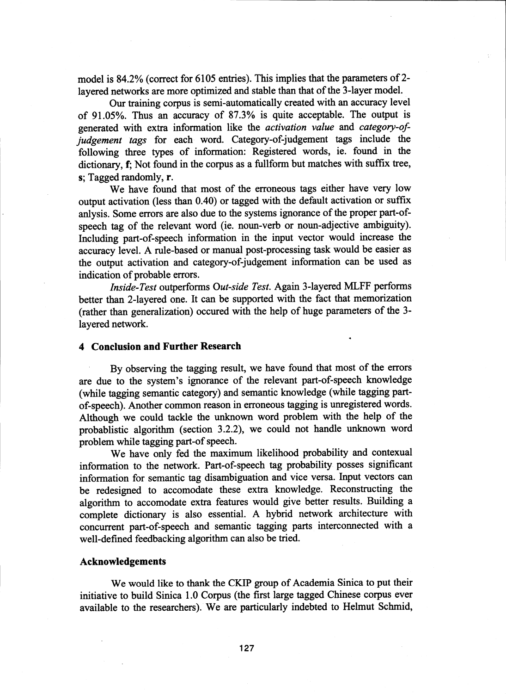model is 84.2% (correct for 6105 entries). This implies that the parameters of 2 layered networks are more optimized and stable than that of the 3-layer model.

Our training corpus is semi-automatically created with an accuracy level of 91.05%. Thus an accuracy of 87.3% is quite acceptable. The output is generated with extra information like the *activation value* and *category-ofjudgement tags* for each word. Category-of-judgement tags include the following three types of information: Registered words, ie. found in the dictionary, f; Not found in the corpus as a fullform but matches with suffix tree, s; Tagged randomly, r.

We have found that most of the erroneous tags either have very low output activation (less than 0.40) or tagged with the default activation or suffix anlysis. Some errors are also due to the systems ignorance of the proper part-ofspeech tag of the relevant word (ie. noun-verb or noun-adjective ambiguity). Including part-of-speech information in the input vector would increase the accuracy level. A rule-based or manual post-processing task would be easier as the output activation and category-of-judgement information can be used as indication of probable errors.

*Inside-Test* outperforms *Out-side Test.* Again 3-layered MLFF performs better than 2-layered one. It can be supported with the fact that memorization (rather than generalization) occured with the help of huge parameters of the 3 layered network.

### 4 Conclusion and Further Research

By observing the tagging result, we have found that most of the errors are due to the system's ignorance of the relevant part-of-speech knowledge (while tagging semantic category) and semantic knowledge (while tagging partof-speech). Another common reason in erroneous tagging is unregistered words. Although we could tackle the unknown word problem with the help of the probablistic algorithm (section 3.2.2), we could not handle unknown word problem while tagging part-of speech.

We have only fed the maximum likelihood probability and contexual information to the network. Part-of-speech tag probability posses significant information for semantic tag disambiguation and vice versa. Input vectors can be redesigned to accomodate these extra knowledge. Reconstructing the algorithm to accomodate extra features would give better results. Building a complete dictionary is also essential. A hybrid network architecture with concurrent part-of-speech and semantic tagging parts interconnected with a well-defined feedbacking algorithm can also be tried.

### Acknowledgements

We would like to thank the CKIP group of Academia Sinica to put their initiative to build Sinica 1.0 Corpus (the first large tagged Chinese corpus ever available to the researchers). We are particularly indebted to Helmut Schmid,